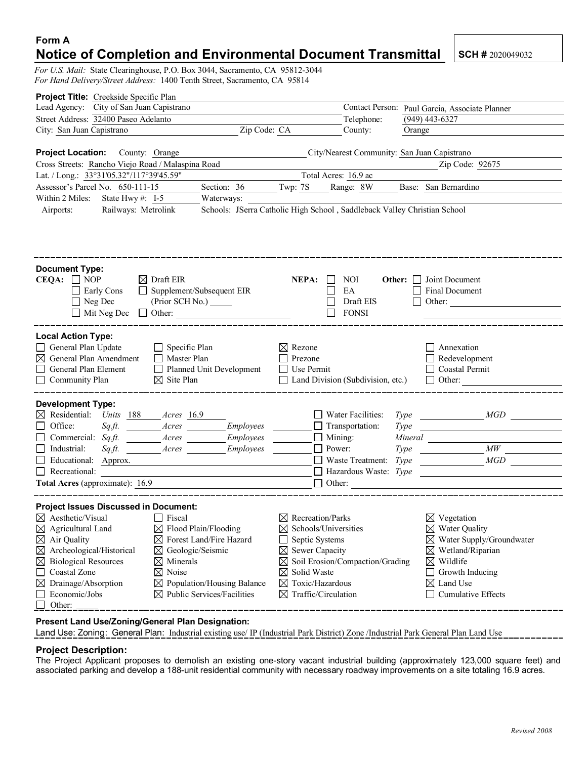## **Form A Notice of Completion and Environmental Document Transmittal SCH # 2020049032**

*For U.S. Mail:* State Clearinghouse, P.O. Box 3044, Sacramento, CA 95812-3044 *For Hand Delivery/Street Address:* 1400 Tenth Street, Sacramento, CA 95814

| Project Title: Creekside Specific Plan                                                                                                                                                                                                                                                                    |                                                                                                                                                                                                                                          |                                                              |                                                                                                                                                                                                                                                 |                     |                                                                                                                                                                                                                                                                                                                                       |  |
|-----------------------------------------------------------------------------------------------------------------------------------------------------------------------------------------------------------------------------------------------------------------------------------------------------------|------------------------------------------------------------------------------------------------------------------------------------------------------------------------------------------------------------------------------------------|--------------------------------------------------------------|-------------------------------------------------------------------------------------------------------------------------------------------------------------------------------------------------------------------------------------------------|---------------------|---------------------------------------------------------------------------------------------------------------------------------------------------------------------------------------------------------------------------------------------------------------------------------------------------------------------------------------|--|
| Lead Agency: City of San Juan Capistrano                                                                                                                                                                                                                                                                  |                                                                                                                                                                                                                                          |                                                              | Contact Person:<br>Paul Garcia, Associate Planner                                                                                                                                                                                               |                     |                                                                                                                                                                                                                                                                                                                                       |  |
| Street Address: 32400 Paseo Adelanto                                                                                                                                                                                                                                                                      |                                                                                                                                                                                                                                          | Telephone:                                                   |                                                                                                                                                                                                                                                 |                     | $(949)$ 443-6327                                                                                                                                                                                                                                                                                                                      |  |
| Zip Code: CA<br>City: San Juan Capistrano                                                                                                                                                                                                                                                                 |                                                                                                                                                                                                                                          |                                                              | County:                                                                                                                                                                                                                                         | Orange              |                                                                                                                                                                                                                                                                                                                                       |  |
|                                                                                                                                                                                                                                                                                                           |                                                                                                                                                                                                                                          |                                                              |                                                                                                                                                                                                                                                 |                     |                                                                                                                                                                                                                                                                                                                                       |  |
| Project Location: County: Orange                                                                                                                                                                                                                                                                          |                                                                                                                                                                                                                                          |                                                              | City/Nearest Community: San Juan Capistrano                                                                                                                                                                                                     |                     |                                                                                                                                                                                                                                                                                                                                       |  |
| Cross Streets: Rancho Viejo Road / Malaspina Road                                                                                                                                                                                                                                                         |                                                                                                                                                                                                                                          |                                                              |                                                                                                                                                                                                                                                 |                     | Zip Code: 92675                                                                                                                                                                                                                                                                                                                       |  |
| Lat. / Long.: 33°31'05.32"/117°39'45.59"                                                                                                                                                                                                                                                                  |                                                                                                                                                                                                                                          |                                                              | Total Acres: 16.9 ac                                                                                                                                                                                                                            |                     |                                                                                                                                                                                                                                                                                                                                       |  |
| Assessor's Parcel No. 650-111-15                                                                                                                                                                                                                                                                          | Section: 36                                                                                                                                                                                                                              |                                                              | Twp: 7S Range: 8W                                                                                                                                                                                                                               |                     | Base: San Bernardino                                                                                                                                                                                                                                                                                                                  |  |
| Within 2 Miles: State Hwy #: I-5                                                                                                                                                                                                                                                                          | Waterways:                                                                                                                                                                                                                               |                                                              |                                                                                                                                                                                                                                                 |                     |                                                                                                                                                                                                                                                                                                                                       |  |
| Schools: JSerra Catholic High School, Saddleback Valley Christian School<br>Railways: Metrolink<br>Airports:                                                                                                                                                                                              |                                                                                                                                                                                                                                          |                                                              |                                                                                                                                                                                                                                                 |                     |                                                                                                                                                                                                                                                                                                                                       |  |
| <b>Document Type:</b><br>CEQA: $\Box$ NOP<br>$\Box$ Early Cons<br>$\Box$ Neg Dec<br>$\Box$ Mit Neg Dec                                                                                                                                                                                                    | $\boxtimes$ Draft EIR<br>$\Box$ Supplement/Subsequent EIR<br>(Prior SCH No.) ______<br>$\Box$ Other:                                                                                                                                     | NEPA:                                                        | NOI<br>EA<br>Draft EIS<br><b>FONSI</b><br>$\mathbf{I}$                                                                                                                                                                                          |                     | <b>Other:</b> Joint Document<br>$\Box$ Final Document<br>$\Box$ Other:                                                                                                                                                                                                                                                                |  |
| <b>Local Action Type:</b><br>General Plan Update<br>$\boxtimes$ General Plan Amendment<br>$\Box$ General Plan Element<br>$\Box$ Community Plan                                                                                                                                                            | $\Box$ Specific Plan<br>□ Master Plan<br>Planned Unit Development<br>$\boxtimes$ Site Plan                                                                                                                                               | $\boxtimes$ Rezone<br>$\Box$<br>Prezone<br>$\Box$ Use Permit | $\Box$ Land Division (Subdivision, etc.)                                                                                                                                                                                                        |                     | Annexation<br>$\Box$ Redevelopment<br>$\Box$ Coastal Permit<br>$\Box$ Other:                                                                                                                                                                                                                                                          |  |
| <b>Development Type:</b><br>$\boxtimes$ Residential: Units 188 Acres 16.9<br>Office:<br>$\Box$<br>$\Box$ Commercial: Sq.ft.<br>$\Box$ Industrial:<br>$Sqzft$ .<br>Educational: Approx.<br>$\Box$ Recreational:                                                                                            | Sq.ft. <i>____________Acres</i><br>Employees<br>Employees<br>Acres<br>Employees<br>Acres<br>Total Acres (approximate): 16.9                                                                                                              |                                                              | Water Facilities:<br>$\Box$ Transportation:<br>$\Box$ Mining:<br>$\Box$ Power:<br>$\Box$ Waste Treatment: Type<br>$\Box$ Hazardous Waste: Type<br>$\Box$ Other:                                                                                 | <b>Type</b><br>Type | Type MGD<br><i>Mineral</i> Mineral<br>$\frac{1}{1}$ MW<br>MGD<br><u>and the state of the community of the state of the state of the state of the state of the state of the state of the state of the state of the state of the state of the state of the state of the state of the state of the s</u><br>____________________________ |  |
| <b>Project Issues Discussed in Document:</b><br>$\boxtimes$ Aesthetic/Visual $\Box$ Fiscal<br>$\boxtimes$ Agricultural Land<br>$\boxtimes$ Air Quality<br>$\boxtimes$ Archeological/Historical<br>⊠<br><b>Biological Resources</b><br>Coastal Zone<br>Drainage/Absorption<br>⊠<br>Economic/Jobs<br>Other: | $\boxtimes$ Flood Plain/Flooding<br>$\boxtimes$ Forest Land/Fire Hazard<br>$\boxtimes$ Geologic/Seismic<br>$\boxtimes$ Minerals<br>$\boxtimes$ Noise<br>$\boxtimes$ Population/Housing Balance<br>$\boxtimes$ Public Services/Facilities | $\boxtimes$ Solid Waste                                      | $\boxtimes$ Recreation/Parks<br>$\boxtimes$ Schools/Universities<br>Septic Systems<br>$\boxtimes$ Sewer Capacity<br>$\boxtimes$ Soil Erosion/Compaction/Grading<br>$\boxtimes$ Toxic/Hazardous<br>$\boxtimes$ Traffic/Circulation<br>__________ |                     | $\boxtimes$ Vegetation<br>$\boxtimes$ Water Quality<br>$\boxtimes$ Water Supply/Groundwater<br>$\boxtimes$ Wetland/Riparian<br>$\boxtimes$ Wildlife<br>Growth Inducing<br>$\boxtimes$ Land Use<br>$\Box$ Cumulative Effects                                                                                                           |  |
| Present Land Use/Zoning/General Plan Designation:                                                                                                                                                                                                                                                         |                                                                                                                                                                                                                                          |                                                              |                                                                                                                                                                                                                                                 |                     |                                                                                                                                                                                                                                                                                                                                       |  |

Land Use: Zoning: General Plan: Industrial existing use/ IP (Industrial Park District) Zone /Industrial Park General Plan Land Use

## **Project Description:**

The Project Applicant proposes to demolish an existing one-story vacant industrial building (approximately 123,000 square feet) and associated parking and develop a 188-unit residential community with necessary roadway improvements on a site totaling 16.9 acres.